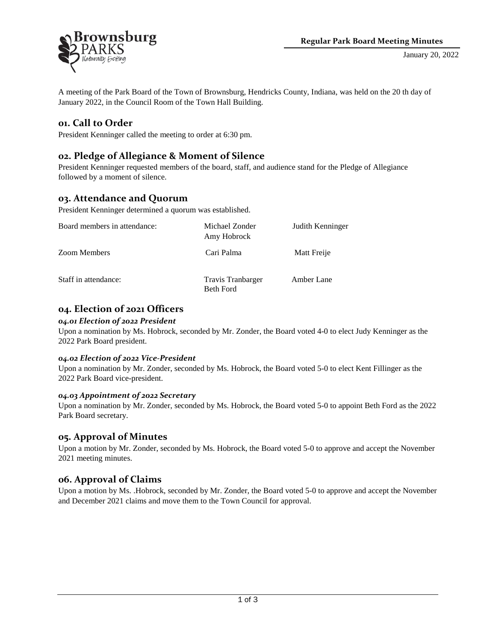

A meeting of the Park Board of the Town of Brownsburg, Hendricks County, Indiana, was held on the 20 th day of January 2022, in the Council Room of the Town Hall Building.

## **01. Call to Order**

President Kenninger called the meeting to order at 6:30 pm.

## **02. Pledge of Allegiance & Moment of Silence**

President Kenninger requested members of the board, staff, and audience stand for the Pledge of Allegiance followed by a moment of silence.

## **03. Attendance and Quorum**

President Kenninger determined a quorum was established.

| Board members in attendance: | Michael Zonder<br>Amy Hobrock  | Judith Kenninger |
|------------------------------|--------------------------------|------------------|
| <b>Zoom Members</b>          | Cari Palma                     | Matt Freije      |
| Staff in attendance:         | Travis Tranbarger<br>Beth Ford | Amber Lane       |

# **04. Election of 2021 Officers**

#### *04.01 Election of 2022 President*

Upon a nomination by Ms. Hobrock, seconded by Mr. Zonder, the Board voted 4-0 to elect Judy Kenninger as the 2022 Park Board president.

### *04.02 Election of 2022 Vice-President*

Upon a nomination by Mr. Zonder, seconded by Ms. Hobrock, the Board voted 5-0 to elect Kent Fillinger as the 2022 Park Board vice-president.

### *04.03 Appointment of 2022 Secretary*

Upon a nomination by Mr. Zonder, seconded by Ms. Hobrock, the Board voted 5-0 to appoint Beth Ford as the 2022 Park Board secretary.

### **05. Approval of Minutes**

Upon a motion by Mr. Zonder, seconded by Ms. Hobrock, the Board voted 5-0 to approve and accept the November 2021 meeting minutes.

## **06. Approval of Claims**

Upon a motion by Ms. .Hobrock, seconded by Mr. Zonder, the Board voted 5-0 to approve and accept the November and December 2021 claims and move them to the Town Council for approval.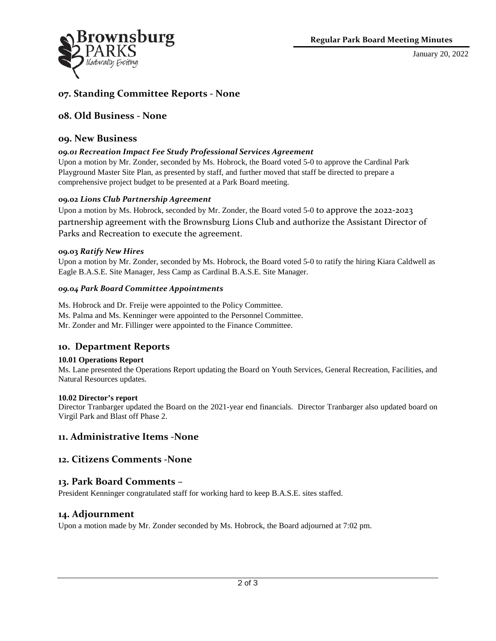

January 20, 2022

# **07. Standing Committee Reports - None**

### **08. Old Business - None**

### **09. New Business**

#### *09.01 Recreation Impact Fee Study Professional Services Agreement*

Upon a motion by Mr. Zonder, seconded by Ms. Hobrock, the Board voted 5-0 to approve the Cardinal Park Playground Master Site Plan, as presented by staff, and further moved that staff be directed to prepare a comprehensive project budget to be presented at a Park Board meeting.

#### **09.02** *Lions Club Partnership Agreement*

Upon a motion by Ms. Hobrock, seconded by Mr. Zonder, the Board voted 5-0 to approve the 2022-2023 partnership agreement with the Brownsburg Lions Club and authorize the Assistant Director of Parks and Recreation to execute the agreement.

#### **09.03** *Ratify New Hires*

Upon a motion by Mr. Zonder, seconded by Ms. Hobrock, the Board voted 5-0 to ratify the hiring Kiara Caldwell as Eagle B.A.S.E. Site Manager, Jess Camp as Cardinal B.A.S.E. Site Manager.

#### *09.04 Park Board Committee Appointments*

Ms. Hobrock and Dr. Freije were appointed to the Policy Committee.

Ms. Palma and Ms. Kenninger were appointed to the Personnel Committee.

Mr. Zonder and Mr. Fillinger were appointed to the Finance Committee.

### **10. Department Reports**

#### **10.01 Operations Report**

Ms. Lane presented the Operations Report updating the Board on Youth Services, General Recreation, Facilities, and Natural Resources updates.

#### **10.02 Director's report**

Director Tranbarger updated the Board on the 2021-year end financials. Director Tranbarger also updated board on Virgil Park and Blast off Phase 2.

### **11. Administrative Items -None**

### **12. Citizens Comments -None**

### **13. Park Board Comments –**

President Kenninger congratulated staff for working hard to keep B.A.S.E. sites staffed.

### **14. Adjournment**

Upon a motion made by Mr. Zonder seconded by Ms. Hobrock, the Board adjourned at 7:02 pm.